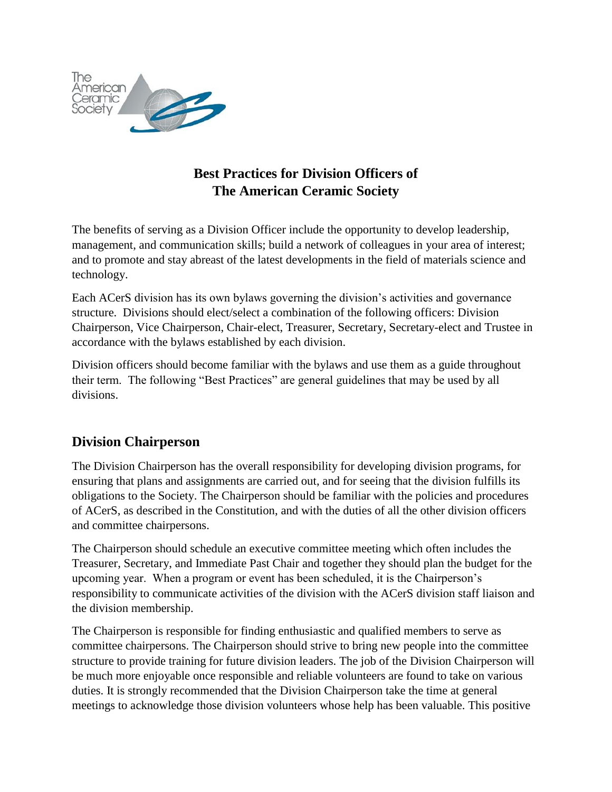

## **Best Practices for Division Officers of The American Ceramic Society**

The benefits of serving as a Division Officer include the opportunity to develop leadership, management, and communication skills; build a network of colleagues in your area of interest; and to promote and stay abreast of the latest developments in the field of materials science and technology.

Each ACerS division has its own bylaws governing the division's activities and governance structure. Divisions should elect/select a combination of the following officers: Division Chairperson, Vice Chairperson, Chair-elect, Treasurer, Secretary, Secretary-elect and Trustee in accordance with the bylaws established by each division.

Division officers should become familiar with the bylaws and use them as a guide throughout their term. The following "Best Practices" are general guidelines that may be used by all divisions.

# **Division Chairperson**

The Division Chairperson has the overall responsibility for developing division programs, for ensuring that plans and assignments are carried out, and for seeing that the division fulfills its obligations to the Society. The Chairperson should be familiar with the policies and procedures of ACerS, as described in the Constitution, and with the duties of all the other division officers and committee chairpersons.

The Chairperson should schedule an executive committee meeting which often includes the Treasurer, Secretary, and Immediate Past Chair and together they should plan the budget for the upcoming year. When a program or event has been scheduled, it is the Chairperson's responsibility to communicate activities of the division with the ACerS division staff liaison and the division membership.

The Chairperson is responsible for finding enthusiastic and qualified members to serve as committee chairpersons. The Chairperson should strive to bring new people into the committee structure to provide training for future division leaders. The job of the Division Chairperson will be much more enjoyable once responsible and reliable volunteers are found to take on various duties. It is strongly recommended that the Division Chairperson take the time at general meetings to acknowledge those division volunteers whose help has been valuable. This positive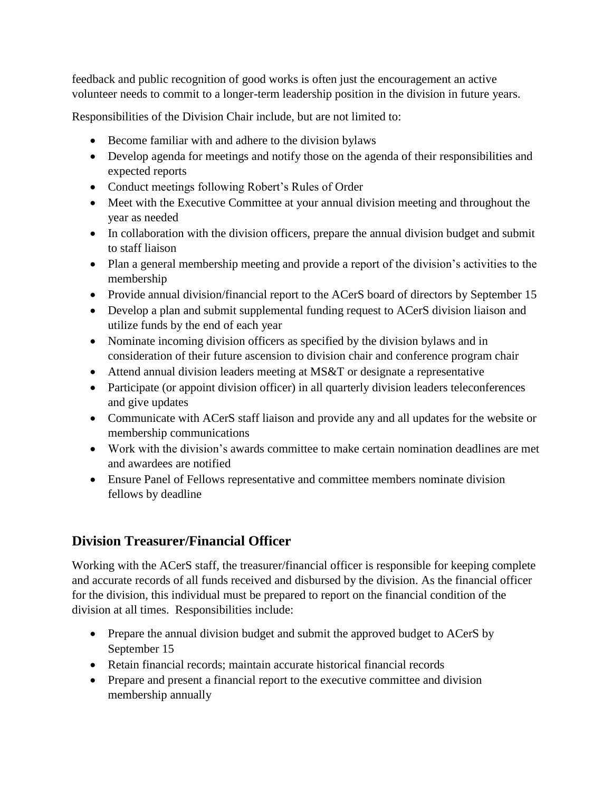feedback and public recognition of good works is often just the encouragement an active volunteer needs to commit to a longer-term leadership position in the division in future years.

Responsibilities of the Division Chair include, but are not limited to:

- Become familiar with and adhere to the division bylaws
- Develop agenda for meetings and notify those on the agenda of their responsibilities and expected reports
- Conduct meetings following Robert's Rules of Order
- Meet with the Executive Committee at your annual division meeting and throughout the year as needed
- In collaboration with the division officers, prepare the annual division budget and submit to staff liaison
- Plan a general membership meeting and provide a report of the division's activities to the membership
- Provide annual division/financial report to the ACerS board of directors by September 15
- Develop a plan and submit supplemental funding request to ACerS division liaison and utilize funds by the end of each year
- Nominate incoming division officers as specified by the division bylaws and in consideration of their future ascension to division chair and conference program chair
- Attend annual division leaders meeting at MS&T or designate a representative
- Participate (or appoint division officer) in all quarterly division leaders teleconferences and give updates
- Communicate with ACerS staff liaison and provide any and all updates for the website or membership communications
- Work with the division's awards committee to make certain nomination deadlines are met and awardees are notified
- Ensure Panel of Fellows representative and committee members nominate division fellows by deadline

### **Division Treasurer/Financial Officer**

Working with the ACerS staff, the treasurer/financial officer is responsible for keeping complete and accurate records of all funds received and disbursed by the division. As the financial officer for the division, this individual must be prepared to report on the financial condition of the division at all times. Responsibilities include:

- Prepare the annual division budget and submit the approved budget to ACerS by September 15
- Retain financial records; maintain accurate historical financial records
- Prepare and present a financial report to the executive committee and division membership annually